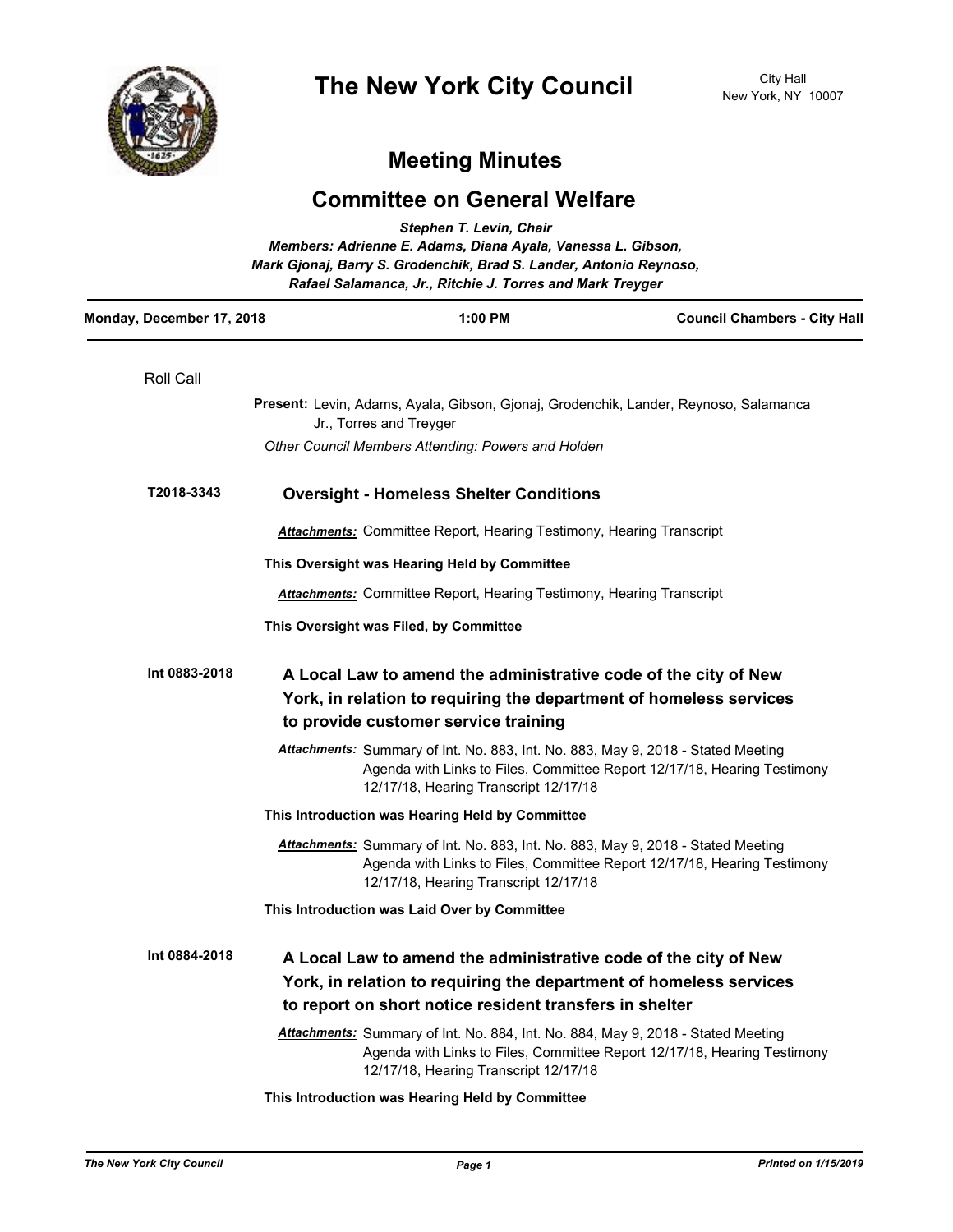

## **Meeting Minutes**

## **Committee on General Welfare**

| Stephen T. Levin, Chair<br>Members: Adrienne E. Adams, Diana Ayala, Vanessa L. Gibson,<br>Mark Gjonaj, Barry S. Grodenchik, Brad S. Lander, Antonio Reynoso,<br>Rafael Salamanca, Jr., Ritchie J. Torres and Mark Treyger |               |         |                                                                                                                                                                                                              |                                     |
|---------------------------------------------------------------------------------------------------------------------------------------------------------------------------------------------------------------------------|---------------|---------|--------------------------------------------------------------------------------------------------------------------------------------------------------------------------------------------------------------|-------------------------------------|
| Monday, December 17, 2018                                                                                                                                                                                                 |               | 1:00 PM |                                                                                                                                                                                                              | <b>Council Chambers - City Hall</b> |
|                                                                                                                                                                                                                           | Roll Call     |         |                                                                                                                                                                                                              |                                     |
|                                                                                                                                                                                                                           |               |         | Present: Levin, Adams, Ayala, Gibson, Gjonaj, Grodenchik, Lander, Reynoso, Salamanca<br>Jr., Torres and Treyger                                                                                              |                                     |
|                                                                                                                                                                                                                           |               |         | Other Council Members Attending: Powers and Holden                                                                                                                                                           |                                     |
|                                                                                                                                                                                                                           | T2018-3343    |         | <b>Oversight - Homeless Shelter Conditions</b>                                                                                                                                                               |                                     |
|                                                                                                                                                                                                                           |               |         | <b>Attachments:</b> Committee Report, Hearing Testimony, Hearing Transcript                                                                                                                                  |                                     |
|                                                                                                                                                                                                                           |               |         | This Oversight was Hearing Held by Committee                                                                                                                                                                 |                                     |
|                                                                                                                                                                                                                           |               |         | <b>Attachments:</b> Committee Report, Hearing Testimony, Hearing Transcript                                                                                                                                  |                                     |
|                                                                                                                                                                                                                           |               |         | This Oversight was Filed, by Committee                                                                                                                                                                       |                                     |
|                                                                                                                                                                                                                           | Int 0883-2018 |         | A Local Law to amend the administrative code of the city of New<br>York, in relation to requiring the department of homeless services<br>to provide customer service training                                |                                     |
|                                                                                                                                                                                                                           |               |         | Attachments: Summary of Int. No. 883, Int. No. 883, May 9, 2018 - Stated Meeting<br>Agenda with Links to Files, Committee Report 12/17/18, Hearing Testimony<br>12/17/18, Hearing Transcript 12/17/18        |                                     |
|                                                                                                                                                                                                                           |               |         | This Introduction was Hearing Held by Committee                                                                                                                                                              |                                     |
|                                                                                                                                                                                                                           |               |         | Attachments: Summary of Int. No. 883, Int. No. 883, May 9, 2018 - Stated Meeting<br>Agenda with Links to Files, Committee Report 12/17/18, Hearing Testimony<br>12/17/18, Hearing Transcript 12/17/18        |                                     |
|                                                                                                                                                                                                                           |               |         | This Introduction was Laid Over by Committee                                                                                                                                                                 |                                     |
|                                                                                                                                                                                                                           | Int 0884-2018 |         | A Local Law to amend the administrative code of the city of New<br>York, in relation to requiring the department of homeless services<br>to report on short notice resident transfers in shelter             |                                     |
|                                                                                                                                                                                                                           |               |         | <b>Attachments:</b> Summary of Int. No. 884, Int. No. 884, May 9, 2018 - Stated Meeting<br>Agenda with Links to Files, Committee Report 12/17/18, Hearing Testimony<br>12/17/18, Hearing Transcript 12/17/18 |                                     |
|                                                                                                                                                                                                                           |               |         | This Introduction was Hearing Held by Committee                                                                                                                                                              |                                     |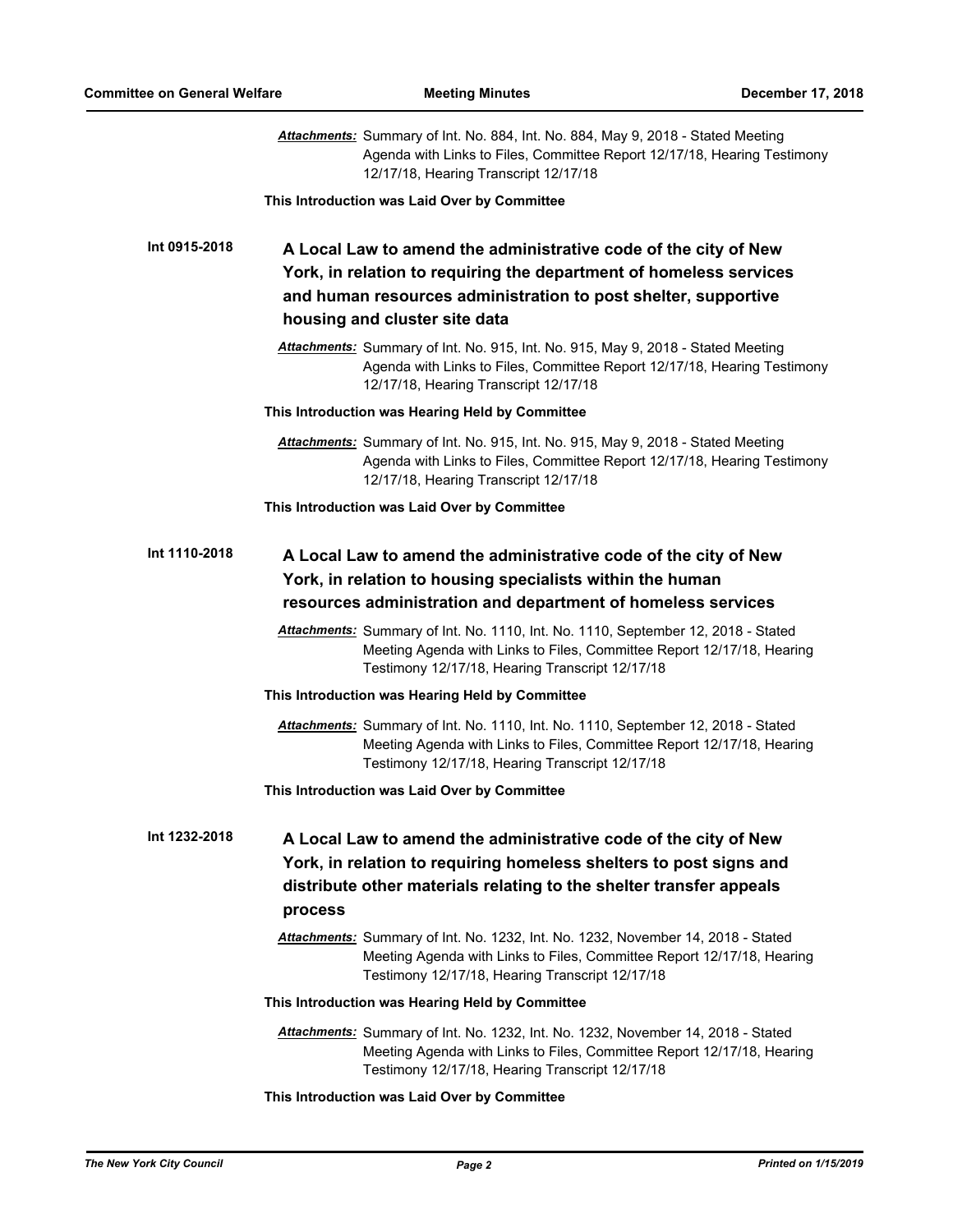|               | Attachments: Summary of Int. No. 884, Int. No. 884, May 9, 2018 - Stated Meeting<br>Agenda with Links to Files, Committee Report 12/17/18, Hearing Testimony<br>12/17/18, Hearing Transcript 12/17/18                                    |  |  |  |
|---------------|------------------------------------------------------------------------------------------------------------------------------------------------------------------------------------------------------------------------------------------|--|--|--|
|               | This Introduction was Laid Over by Committee                                                                                                                                                                                             |  |  |  |
| Int 0915-2018 | A Local Law to amend the administrative code of the city of New<br>York, in relation to requiring the department of homeless services<br>and human resources administration to post shelter, supportive<br>housing and cluster site data |  |  |  |
|               | Attachments: Summary of Int. No. 915, Int. No. 915, May 9, 2018 - Stated Meeting<br>Agenda with Links to Files, Committee Report 12/17/18, Hearing Testimony<br>12/17/18, Hearing Transcript 12/17/18                                    |  |  |  |
|               | This Introduction was Hearing Held by Committee                                                                                                                                                                                          |  |  |  |
|               | Attachments: Summary of Int. No. 915, Int. No. 915, May 9, 2018 - Stated Meeting<br>Agenda with Links to Files, Committee Report 12/17/18, Hearing Testimony<br>12/17/18, Hearing Transcript 12/17/18                                    |  |  |  |
|               | This Introduction was Laid Over by Committee                                                                                                                                                                                             |  |  |  |
| Int 1110-2018 | A Local Law to amend the administrative code of the city of New<br>York, in relation to housing specialists within the human                                                                                                             |  |  |  |
|               | resources administration and department of homeless services                                                                                                                                                                             |  |  |  |
|               | Attachments: Summary of Int. No. 1110, Int. No. 1110, September 12, 2018 - Stated<br>Meeting Agenda with Links to Files, Committee Report 12/17/18, Hearing<br>Testimony 12/17/18, Hearing Transcript 12/17/18                           |  |  |  |
|               | This Introduction was Hearing Held by Committee                                                                                                                                                                                          |  |  |  |
|               | Attachments: Summary of Int. No. 1110, Int. No. 1110, September 12, 2018 - Stated<br>Meeting Agenda with Links to Files, Committee Report 12/17/18, Hearing<br>Testimony 12/17/18, Hearing Transcript 12/17/18                           |  |  |  |
|               | This Introduction was Laid Over by Committee                                                                                                                                                                                             |  |  |  |
| Int 1232-2018 | A Local Law to amend the administrative code of the city of New<br>York, in relation to requiring homeless shelters to post signs and<br>distribute other materials relating to the shelter transfer appeals<br>process                  |  |  |  |
|               | Attachments: Summary of Int. No. 1232, Int. No. 1232, November 14, 2018 - Stated<br>Meeting Agenda with Links to Files, Committee Report 12/17/18, Hearing<br>Testimony 12/17/18, Hearing Transcript 12/17/18                            |  |  |  |
|               | This Introduction was Hearing Held by Committee                                                                                                                                                                                          |  |  |  |
|               | Attachments: Summary of Int. No. 1232, Int. No. 1232, November 14, 2018 - Stated<br>Meeting Agenda with Links to Files, Committee Report 12/17/18, Hearing<br>Testimony 12/17/18, Hearing Transcript 12/17/18                            |  |  |  |
|               | This Introduction was Laid Over by Committee                                                                                                                                                                                             |  |  |  |

*The New York City Council Page 2 Printed on 1/15/2019*